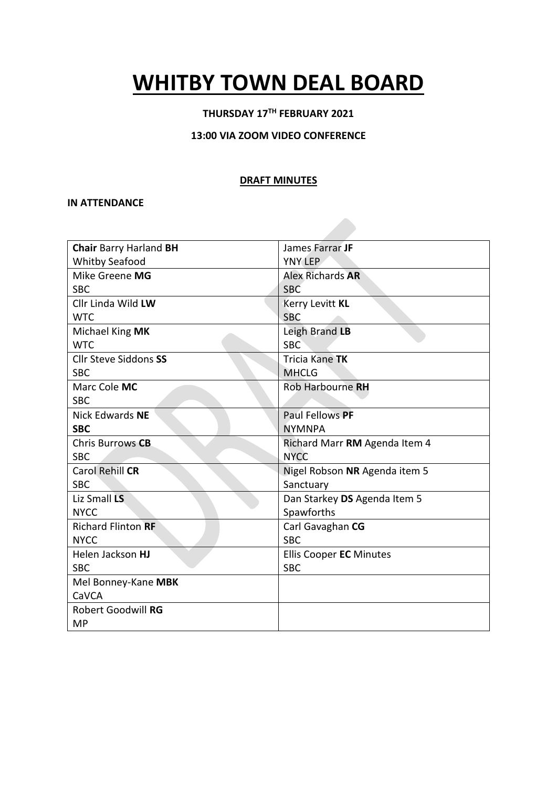# **WHITBY TOWN DEAL BOARD**

#### **THURSDAY 17TH FEBRUARY 2021**

#### **13:00 VIA ZOOM VIDEO CONFERENCE**

#### **DRAFT MINUTES**

#### **IN ATTENDANCE**

| <b>Chair Barry Harland BH</b> | James Farrar JF               |
|-------------------------------|-------------------------------|
| <b>Whitby Seafood</b>         | <b>YNY LEP</b>                |
| Mike Greene MG                | <b>Alex Richards AR</b>       |
| <b>SBC</b>                    | <b>SBC</b>                    |
| Cllr Linda Wild LW            | Kerry Levitt KL               |
| <b>WTC</b>                    | <b>SBC</b>                    |
| Michael King MK               | Leigh Brand LB                |
| <b>WTC</b>                    | <b>SBC</b>                    |
| <b>Cllr Steve Siddons SS</b>  | Tricia Kane TK                |
| <b>SBC</b>                    | <b>MHCLG</b>                  |
| Marc Cole MC                  | Rob Harbourne RH              |
| <b>SBC</b>                    |                               |
| <b>Nick Edwards NE</b>        | Paul Fellows PF               |
| <b>SBC</b>                    | <b>NYMNPA</b>                 |
| Chris Burrows CB              | Richard Marr RM Agenda Item 4 |
| <b>SBC</b>                    | <b>NYCC</b>                   |
| Carol Rehill CR               | Nigel Robson NR Agenda item 5 |
| <b>SBC</b>                    | Sanctuary                     |
| Liz Small LS                  | Dan Starkey DS Agenda Item 5  |
| <b>NYCC</b>                   | Spawforths                    |
| <b>Richard Flinton RF</b>     | Carl Gavaghan CG              |
| <b>NYCC</b>                   | <b>SBC</b>                    |
| Helen Jackson HJ              | Ellis Cooper EC Minutes       |
| <b>SBC</b>                    | <b>SBC</b>                    |
| Mel Bonney-Kane MBK           |                               |
| CaVCA                         |                               |
| <b>Robert Goodwill RG</b>     |                               |
| MP                            |                               |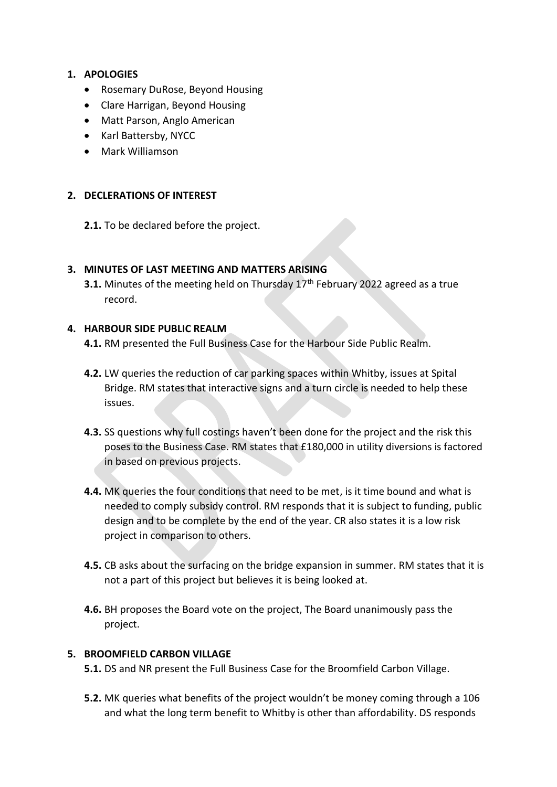## **1. APOLOGIES**

- Rosemary DuRose, Beyond Housing
- Clare Harrigan, Beyond Housing
- Matt Parson, Anglo American
- Karl Battersby, NYCC
- Mark Williamson

## **2. DECLERATIONS OF INTEREST**

**2.1.** To be declared before the project.

## **3. MINUTES OF LAST MEETING AND MATTERS ARISING**

**3.1.** Minutes of the meeting held on Thursday 17<sup>th</sup> February 2022 agreed as a true record.

## **4. HARBOUR SIDE PUBLIC REALM**

- **4.1.** RM presented the Full Business Case for the Harbour Side Public Realm.
- **4.2.** LW queries the reduction of car parking spaces within Whitby, issues at Spital Bridge. RM states that interactive signs and a turn circle is needed to help these issues.
- **4.3.** SS questions why full costings haven't been done for the project and the risk this poses to the Business Case. RM states that £180,000 in utility diversions is factored in based on previous projects.
- **4.4.** MK queries the four conditions that need to be met, is it time bound and what is needed to comply subsidy control. RM responds that it is subject to funding, public design and to be complete by the end of the year. CR also states it is a low risk project in comparison to others.
- **4.5.** CB asks about the surfacing on the bridge expansion in summer. RM states that it is not a part of this project but believes it is being looked at.
- **4.6.** BH proposes the Board vote on the project, The Board unanimously pass the project.

#### **5. BROOMFIELD CARBON VILLAGE**

- **5.1.** DS and NR present the Full Business Case for the Broomfield Carbon Village.
- **5.2.** MK queries what benefits of the project wouldn't be money coming through a 106 and what the long term benefit to Whitby is other than affordability. DS responds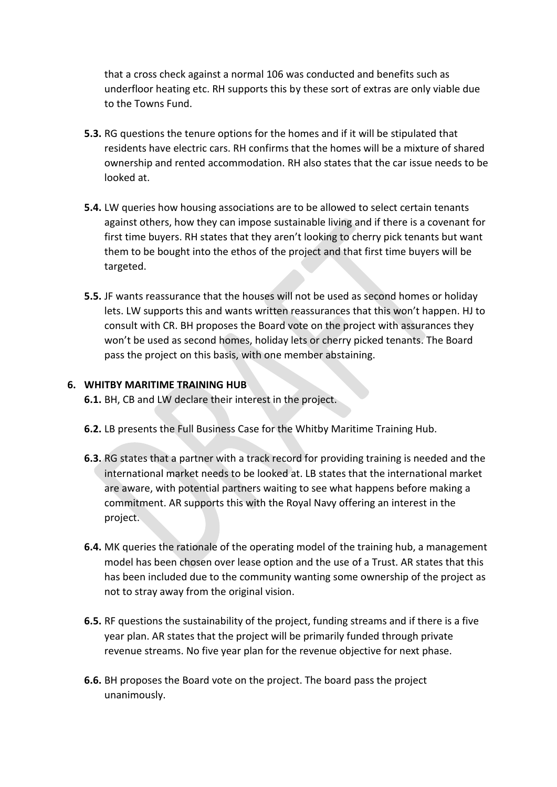that a cross check against a normal 106 was conducted and benefits such as underfloor heating etc. RH supports this by these sort of extras are only viable due to the Towns Fund.

- **5.3.** RG questions the tenure options for the homes and if it will be stipulated that residents have electric cars. RH confirms that the homes will be a mixture of shared ownership and rented accommodation. RH also states that the car issue needs to be looked at.
- **5.4.** LW queries how housing associations are to be allowed to select certain tenants against others, how they can impose sustainable living and if there is a covenant for first time buyers. RH states that they aren't looking to cherry pick tenants but want them to be bought into the ethos of the project and that first time buyers will be targeted.
- **5.5.** JF wants reassurance that the houses will not be used as second homes or holiday lets. LW supports this and wants written reassurances that this won't happen. HJ to consult with CR. BH proposes the Board vote on the project with assurances they won't be used as second homes, holiday lets or cherry picked tenants. The Board pass the project on this basis, with one member abstaining.

## **6. WHITBY MARITIME TRAINING HUB**

**6.1.** BH, CB and LW declare their interest in the project.

- **6.2.** LB presents the Full Business Case for the Whitby Maritime Training Hub.
- **6.3.** RG states that a partner with a track record for providing training is needed and the international market needs to be looked at. LB states that the international market are aware, with potential partners waiting to see what happens before making a commitment. AR supports this with the Royal Navy offering an interest in the project.
- **6.4.** MK queries the rationale of the operating model of the training hub, a management model has been chosen over lease option and the use of a Trust. AR states that this has been included due to the community wanting some ownership of the project as not to stray away from the original vision.
- **6.5.** RF questions the sustainability of the project, funding streams and if there is a five year plan. AR states that the project will be primarily funded through private revenue streams. No five year plan for the revenue objective for next phase.
- **6.6.** BH proposes the Board vote on the project. The board pass the project unanimously.